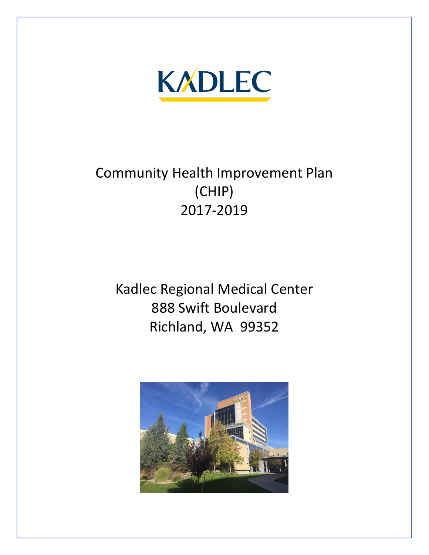

# Community Health Improvement Plan (CHIP) 2017-2019

Kadlec Regional Medical Center 888 Swift Boulevard Richland, WA 99352

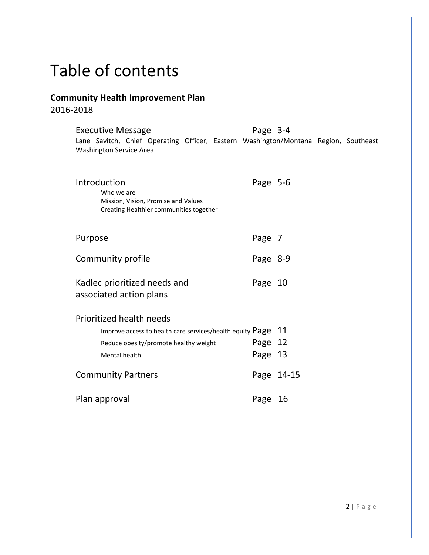# Table of contents

### **Community Health Improvement Plan** 2016-2018

| <b>Executive Message</b>                                                                                              | Page 3-4   |  |
|-----------------------------------------------------------------------------------------------------------------------|------------|--|
| Lane Savitch, Chief Operating Officer, Eastern Washington/Montana Region, Southeast<br><b>Washington Service Area</b> |            |  |
|                                                                                                                       |            |  |
| Introduction                                                                                                          | Page 5-6   |  |
| Who we are<br>Mission, Vision, Promise and Values                                                                     |            |  |
| Creating Healthier communities together                                                                               |            |  |
|                                                                                                                       |            |  |
| Purpose                                                                                                               | Page 7     |  |
| Community profile                                                                                                     | Page 8-9   |  |
| Kadlec prioritized needs and                                                                                          | Page 10    |  |
| associated action plans                                                                                               |            |  |
|                                                                                                                       |            |  |
| <b>Prioritized health needs</b>                                                                                       |            |  |
| Improve access to health care services/health equity $Page 11$                                                        |            |  |
| Reduce obesity/promote healthy weight                                                                                 | Page 12    |  |
| Mental health                                                                                                         | Page 13    |  |
| <b>Community Partners</b>                                                                                             | Page 14-15 |  |
|                                                                                                                       |            |  |
| Plan approval                                                                                                         | Page<br>16 |  |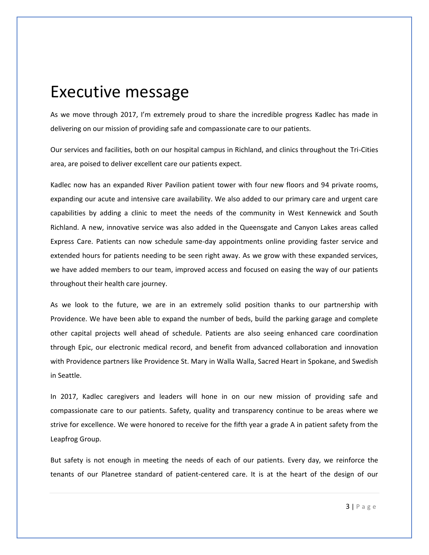## Executive message

As we move through 2017, I'm extremely proud to share the incredible progress Kadlec has made in delivering on our mission of providing safe and compassionate care to our patients.

Our services and facilities, both on our hospital campus in Richland, and clinics throughout the Tri-Cities area, are poised to deliver excellent care our patients expect.

Kadlec now has an expanded River Pavilion patient tower with four new floors and 94 private rooms, expanding our acute and intensive care availability. We also added to our primary care and urgent care capabilities by adding a clinic to meet the needs of the community in West Kennewick and South Richland. A new, innovative service was also added in the Queensgate and Canyon Lakes areas called Express Care. Patients can now schedule same-day appointments online providing faster service and extended hours for patients needing to be seen right away. As we grow with these expanded services, we have added members to our team, improved access and focused on easing the way of our patients throughout their health care journey.

As we look to the future, we are in an extremely solid position thanks to our partnership with Providence. We have been able to expand the number of beds, build the parking garage and complete other capital projects well ahead of schedule. Patients are also seeing enhanced care coordination through Epic, our electronic medical record, and benefit from advanced collaboration and innovation with Providence partners like Providence St. Mary in Walla Walla, Sacred Heart in Spokane, and Swedish in Seattle.

In 2017, Kadlec caregivers and leaders will hone in on our new mission of providing safe and compassionate care to our patients. Safety, quality and transparency continue to be areas where we strive for excellence. We were honored to receive for the fifth year a grade A in patient safety from the Leapfrog Group.

But safety is not enough in meeting the needs of each of our patients. Every day, we reinforce the tenants of our Planetree standard of patient-centered care. It is at the heart of the design of our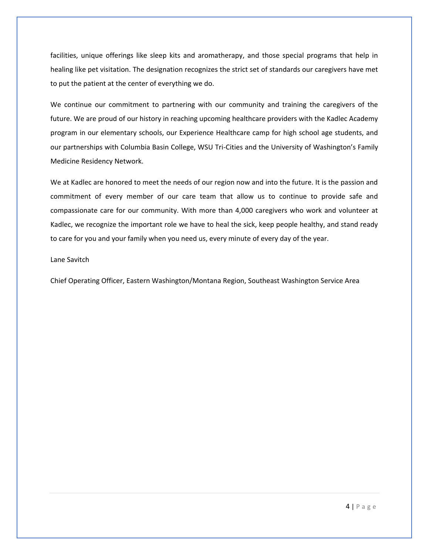facilities, unique offerings like sleep kits and aromatherapy, and those special programs that help in healing like pet visitation. The designation recognizes the strict set of standards our caregivers have met to put the patient at the center of everything we do.

We continue our commitment to partnering with our community and training the caregivers of the future. We are proud of our history in reaching upcoming healthcare providers with the Kadlec Academy program in our elementary schools, our Experience Healthcare camp for high school age students, and our partnerships with Columbia Basin College, WSU Tri-Cities and the University of Washington's Family Medicine Residency Network.

We at Kadlec are honored to meet the needs of our region now and into the future. It is the passion and commitment of every member of our care team that allow us to continue to provide safe and compassionate care for our community. With more than 4,000 caregivers who work and volunteer at Kadlec, we recognize the important role we have to heal the sick, keep people healthy, and stand ready to care for you and your family when you need us, every minute of every day of the year.

#### Lane Savitch

Chief Operating Officer, Eastern Washington/Montana Region, Southeast Washington Service Area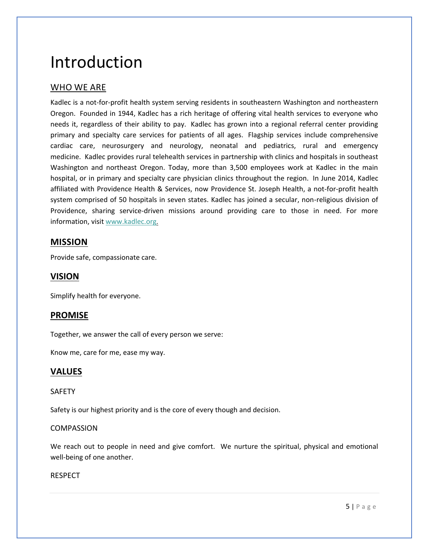# Introduction

#### WHO WE ARE

Kadlec is a not-for-profit health system serving residents in southeastern Washington and northeastern Oregon. Founded in 1944, Kadlec has a rich heritage of offering vital health services to everyone who needs it, regardless of their ability to pay. Kadlec has grown into a regional referral center providing primary and specialty care services for patients of all ages. Flagship services include comprehensive cardiac care, neurosurgery and neurology, neonatal and pediatrics, rural and emergency medicine. Kadlec provides rural telehealth services in partnership with clinics and hospitals in southeast Washington and northeast Oregon. Today, more than 3,500 employees work at Kadlec in the main hospital, or in primary and specialty care physician clinics throughout the region. In June 2014, Kadlec affiliated with Providence Health & Services, now Providence St. Joseph Health, a not-for-profit health system comprised of 50 hospitals in seven states. Kadlec has joined a secular, non-religious division of Providence, sharing service-driven missions around providing care to those in need. For more information, visit [www.kadlec.org](http://www.kadlec.org/).

#### **MISSION**

Provide safe, compassionate care.

#### **VISION**

Simplify health for everyone.

#### **PROMISE**

Together, we answer the call of every person we serve:

Know me, care for me, ease my way.

#### **VALUES**

#### SAFETY

Safety is our highest priority and is the core of every though and decision.

#### COMPASSION

We reach out to people in need and give comfort. We nurture the spiritual, physical and emotional well-being of one another.

#### RESPECT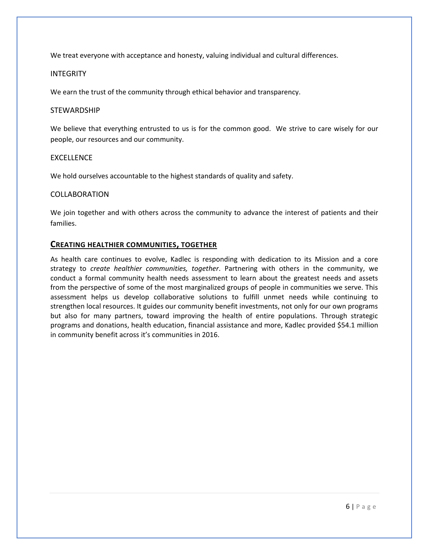We treat everyone with acceptance and honesty, valuing individual and cultural differences.

#### INTEGRITY

We earn the trust of the community through ethical behavior and transparency.

#### **STEWARDSHIP**

We believe that everything entrusted to us is for the common good. We strive to care wisely for our people, our resources and our community.

#### EXCELLENCE

We hold ourselves accountable to the highest standards of quality and safety.

#### COLLABORATION

We join together and with others across the community to advance the interest of patients and their families.

#### **CREATING HEALTHIER COMMUNITIES, TOGETHER**

As health care continues to evolve, Kadlec is responding with dedication to its Mission and a core strategy to *create healthier communities, together*. Partnering with others in the community, we conduct a formal community health needs assessment to learn about the greatest needs and assets from the perspective of some of the most marginalized groups of people in communities we serve. This assessment helps us develop collaborative solutions to fulfill unmet needs while continuing to strengthen local resources. It guides our community benefit investments, not only for our own programs but also for many partners, toward improving the health of entire populations. Through strategic programs and donations, health education, financial assistance and more, Kadlec provided \$54.1 million in community benefit across it's communities in 2016.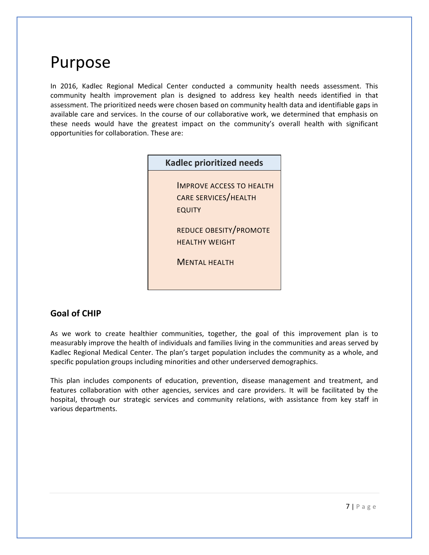# Purpose

In 2016, Kadlec Regional Medical Center conducted a community health needs assessment. This community health improvement plan is designed to address key health needs identified in that assessment. The prioritized needs were chosen based on community health data and identifiable gaps in available care and services. In the course of our collaborative work, we determined that emphasis on these needs would have the greatest impact on the community's overall health with significant opportunities for collaboration. These are:

| <b>Kadlec prioritized needs</b>                                                 |  |  |
|---------------------------------------------------------------------------------|--|--|
| <b>IMPROVE ACCESS TO HEALTH</b><br><b>CARE SERVICES/HEALTH</b><br><b>EQUITY</b> |  |  |
| <b>REDUCE OBESITY/PROMOTE</b><br><b>HFALTHY WFIGHT</b><br><b>MENTAL HEALTH</b>  |  |  |
|                                                                                 |  |  |

#### **Goal of CHIP**

As we work to create healthier communities, together, the goal of this improvement plan is to measurably improve the health of individuals and families living in the communities and areas served by Kadlec Regional Medical Center. The plan's target population includes the community as a whole, and specific population groups including minorities and other underserved demographics.

This plan includes components of education, prevention, disease management and treatment, and features collaboration with other agencies, services and care providers. It will be facilitated by the hospital, through our strategic services and community relations, with assistance from key staff in various departments.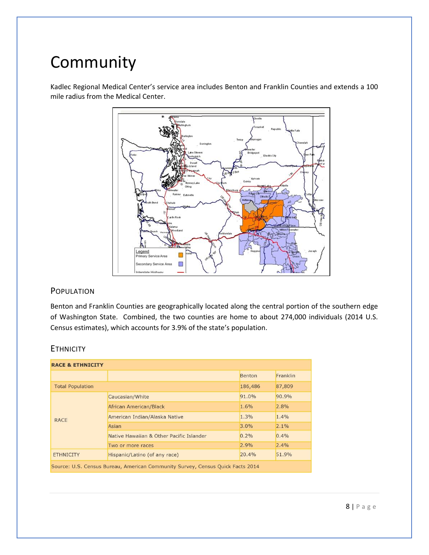# Community

Kadlec Regional Medical Center's service area includes Benton and Franklin Counties and extends a 100 mile radius from the Medical Center.



#### POPULATION

Benton and Franklin Counties are geographically located along the central portion of the southern edge of Washington State. Combined, the two counties are home to about 274,000 individuals (2014 U.S. Census estimates), which accounts for 3.9% of the state's population.

| <b>ETHNICITY</b> |  |
|------------------|--|
|------------------|--|

| <b>RACE &amp; ETHNICITY</b>                                                    |                                          |               |          |  |  |  |
|--------------------------------------------------------------------------------|------------------------------------------|---------------|----------|--|--|--|
|                                                                                |                                          | <b>Benton</b> | Franklin |  |  |  |
| <b>Total Population</b>                                                        |                                          | 186,486       | 87,809   |  |  |  |
| <b>RACE</b>                                                                    | Caucasian/White                          | 91.0%         | 90.9%    |  |  |  |
|                                                                                | African American/Black                   | 1.6%          | 2.8%     |  |  |  |
|                                                                                | American Indian/Alaska Native            | 1.3%          | 1.4%     |  |  |  |
|                                                                                | Asian                                    | 3.0%          | 2.1%     |  |  |  |
|                                                                                | Native Hawaiian & Other Pacific Islander | 0.2%          | 0.4%     |  |  |  |
|                                                                                | Two or more races                        | 2.9%          | 2.4%     |  |  |  |
| <b>ETHNICITY</b>                                                               | Hispanic/Latino (of any race)            | 20.4%         | 51.9%    |  |  |  |
| Source: U.S. Census Bureau, American Community Survey, Census Quick Facts 2014 |                                          |               |          |  |  |  |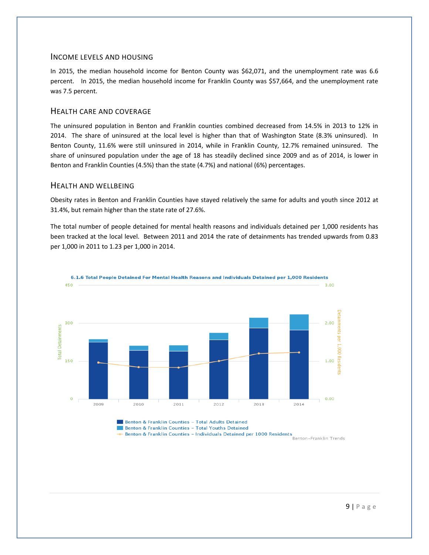#### INCOME LEVELS AND HOUSING

In 2015, the median household income for Benton County was \$62,071, and the unemployment rate was 6.6 percent. In 2015, the median household income for Franklin County was \$57,664, and the unemployment rate was 7.5 percent.

#### HEALTH CARE AND COVERAGE

The uninsured population in Benton and Franklin counties combined decreased from 14.5% in 2013 to 12% in 2014. The share of uninsured at the local level is higher than that of Washington State (8.3% uninsured). In Benton County, 11.6% were still uninsured in 2014, while in Franklin County, 12.7% remained uninsured. The share of uninsured population under the age of 18 has steadily declined since 2009 and as of 2014, is lower in Benton and Franklin Counties (4.5%) than the state (4.7%) and national (6%) percentages.

#### HEALTH AND WELLBEING

Obesity rates in Benton and Franklin Counties have stayed relatively the same for adults and youth since 2012 at 31.4%, but remain higher than the state rate of 27.6%.

The total number of people detained for mental health reasons and individuals detained per 1,000 residents has been tracked at the local level. Between 2011 and 2014 the rate of detainments has trended upwards from 0.83 per 1,000 in 2011 to 1.23 per 1,000 in 2014.



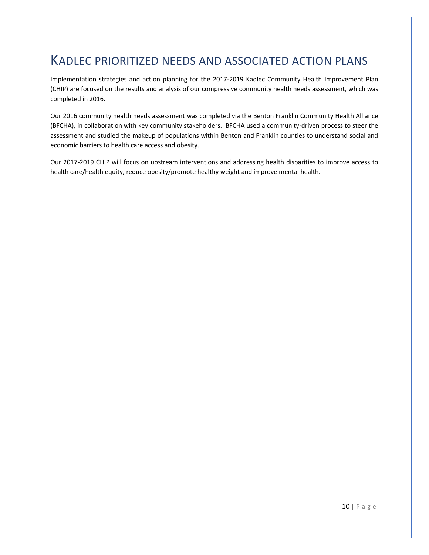## KADLEC PRIORITIZED NEEDS AND ASSOCIATED ACTION PLANS

Implementation strategies and action planning for the 2017-2019 Kadlec Community Health Improvement Plan (CHIP) are focused on the results and analysis of our compressive community health needs assessment, which was completed in 2016.

Our 2016 community health needs assessment was completed via the Benton Franklin Community Health Alliance (BFCHA), in collaboration with key community stakeholders. BFCHA used a community-driven process to steer the assessment and studied the makeup of populations within Benton and Franklin counties to understand social and economic barriers to health care access and obesity.

Our 2017-2019 CHIP will focus on upstream interventions and addressing health disparities to improve access to health care/health equity, reduce obesity/promote healthy weight and improve mental health.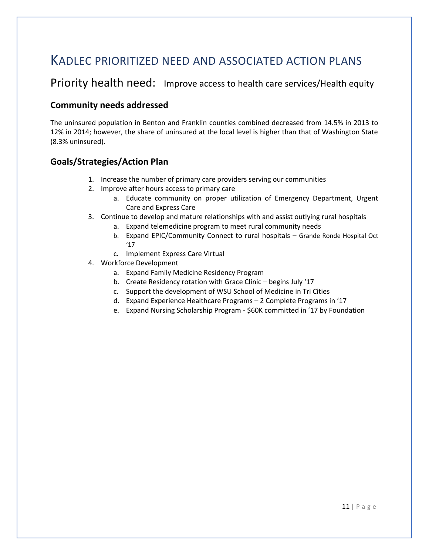## KADLEC PRIORITIZED NEED AND ASSOCIATED ACTION PLANS

## Priority health need: Improve access to health care services/Health equity

#### **Community needs addressed**

The uninsured population in Benton and Franklin counties combined decreased from 14.5% in 2013 to 12% in 2014; however, the share of uninsured at the local level is higher than that of Washington State (8.3% uninsured).

#### **Goals/Strategies/Action Plan**

- 1. Increase the number of primary care providers serving our communities
- 2. Improve after hours access to primary care
	- a. Educate community on proper utilization of Emergency Department, Urgent Care and Express Care
- 3. Continue to develop and mature relationships with and assist outlying rural hospitals
	- a. Expand telemedicine program to meet rural community needs
	- b. Expand EPIC/Community Connect to rural hospitals Grande Ronde Hospital Oct '17
	- c. Implement Express Care Virtual
- 4. Workforce Development
	- a. Expand Family Medicine Residency Program
	- b. Create Residency rotation with Grace Clinic begins July '17
	- c. Support the development of WSU School of Medicine in Tri Cities
	- d. Expand Experience Healthcare Programs 2 Complete Programs in '17
	- e. Expand Nursing Scholarship Program \$60K committed in '17 by Foundation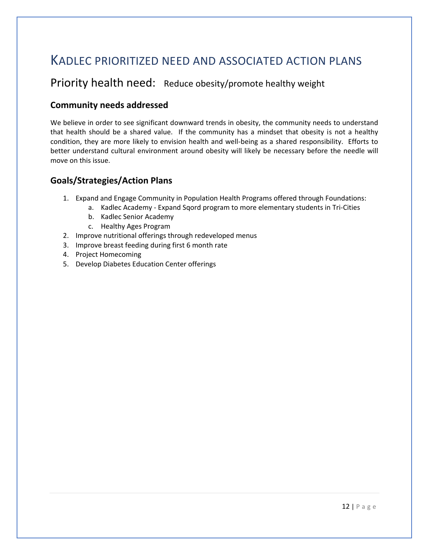## KADLEC PRIORITIZED NEED AND ASSOCIATED ACTION PLANS

### Priority health need: Reduce obesity/promote healthy weight

#### **Community needs addressed**

We believe in order to see significant downward trends in obesity, the community needs to understand that health should be a shared value. If the community has a mindset that obesity is not a healthy condition, they are more likely to envision health and well-being as a shared responsibility. Efforts to better understand cultural environment around obesity will likely be necessary before the needle will move on this issue.

#### **Goals/Strategies/Action Plans**

- 1. Expand and Engage Community in Population Health Programs offered through Foundations:
	- a. Kadlec Academy Expand Sqord program to more elementary students in Tri-Cities
	- b. Kadlec Senior Academy
	- c. Healthy Ages Program
- 2. Improve nutritional offerings through redeveloped menus
- 3. Improve breast feeding during first 6 month rate
- 4. Project Homecoming
- 5. Develop Diabetes Education Center offerings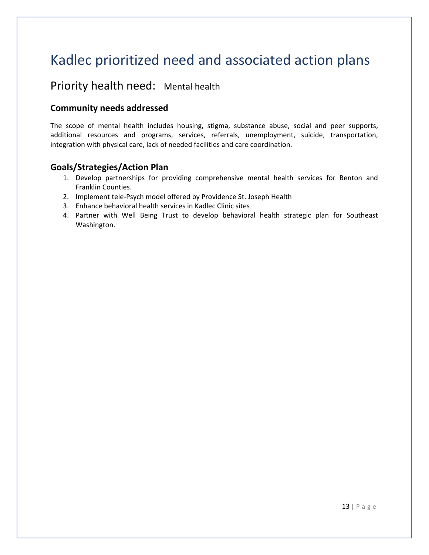## Kadlec prioritized need and associated action plans

### Priority health need: Mental health

#### **Community needs addressed**

The scope of mental health includes housing, stigma, substance abuse, social and peer supports, additional resources and programs, services, referrals, unemployment, suicide, transportation, integration with physical care, lack of needed facilities and care coordination.

#### **Goals/Strategies/Action Plan**

- 1. Develop partnerships for providing comprehensive mental health services for Benton and Franklin Counties.
- 2. Implement tele-Psych model offered by Providence St. Joseph Health
- 3. Enhance behavioral health services in Kadlec Clinic sites
- 4. Partner with Well Being Trust to develop behavioral health strategic plan for Southeast Washington.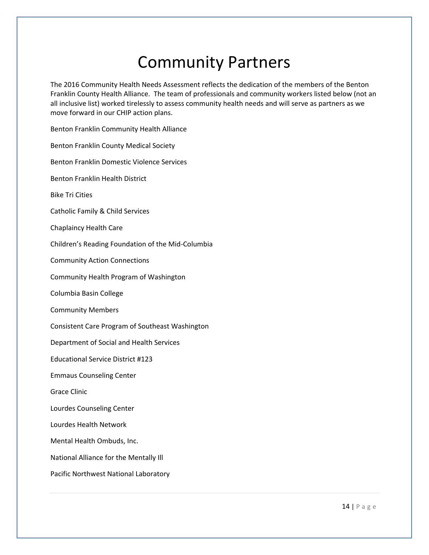# Community Partners

The 2016 Community Health Needs Assessment reflects the dedication of the members of the Benton Franklin County Health Alliance. The team of professionals and community workers listed below (not an all inclusive list) worked tirelessly to assess community health needs and will serve as partners as we move forward in our CHIP action plans.

Benton Franklin Community Health Alliance Benton Franklin County Medical Society Benton Franklin Domestic Violence Services Benton Franklin Health District Bike Tri Cities Catholic Family & Child Services Chaplaincy Health Care Children's Reading Foundation of the Mid-Columbia Community Action Connections Community Health Program of Washington Columbia Basin College Community Members Consistent Care Program of Southeast Washington Department of Social and Health Services Educational Service District #123 Emmaus Counseling Center Grace Clinic Lourdes Counseling Center Lourdes Health Network Mental Health Ombuds, Inc. National Alliance for the Mentally Ill

Pacific Northwest National Laboratory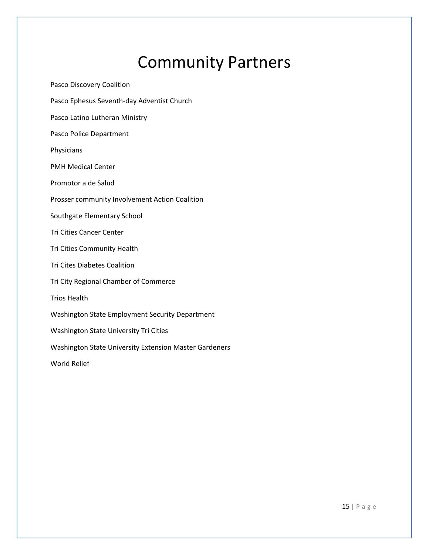# Community Partners

Pasco Discovery Coalition Pasco Ephesus Seventh-day Adventist Church Pasco Latino Lutheran Ministry Pasco Police Department Physicians PMH Medical Center Promotor a de Salud Prosser community Involvement Action Coalition Southgate Elementary School Tri Cities Cancer Center Tri Cities Community Health Tri Cites Diabetes Coalition Tri City Regional Chamber of Commerce Trios Health Washington State Employment Security Department Washington State University Tri Cities Washington State University Extension Master Gardeners World Relief